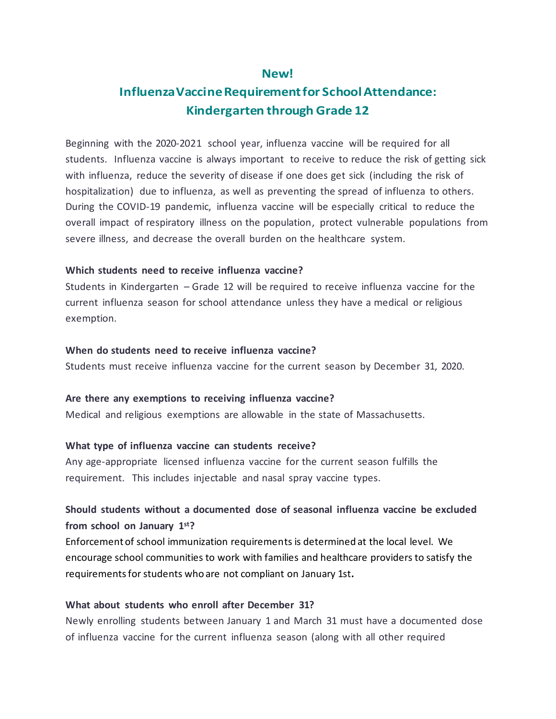### **New!**

# **InfluenzaVaccineRequirementfor SchoolAttendance: Kindergarten through Grade 12**

Beginning with the 2020-2021 school year, influenza vaccine will be required for all students. Influenza vaccine is always important to receive to reduce the risk of getting sick with influenza, reduce the severity of disease if one does get sick (including the risk of hospitalization) due to influenza, as well as preventing the spread of influenza to others. During the COVID-19 pandemic, influenza vaccine will be especially critical to reduce the overall impact of respiratory illness on the population, protect vulnerable populations from severe illness, and decrease the overall burden on the healthcare system.

#### **Which students need to receive influenza vaccine?**

Students in Kindergarten – Grade 12 will be required to receive influenza vaccine for the current influenza season for school attendance unless they have a medical or religious exemption.

#### **When do students need to receive influenza vaccine?**

Students must receive influenza vaccine for the current season by December 31, 2020.

#### **Are there any exemptions to receiving influenza vaccine?**

Medical and religious exemptions are allowable in the state of Massachusetts.

#### **What type of influenza vaccine can students receive?**

Any age-appropriate licensed influenza vaccine for the current season fulfills the requirement. This includes injectable and nasal spray vaccine types.

# **Should students without a documented dose of seasonal influenza vaccine be excluded from school on January 1st?**

Enforcement of school immunization requirements is determined at the local level. We encourage school communities to work with families and healthcare providers to satisfy the requirementsforstudents who are not compliant on January 1st**.**

### **What about students who enroll after December 31?**

Newly enrolling students between January 1 and March 31 must have a documented dose of influenza vaccine for the current influenza season (along with all other required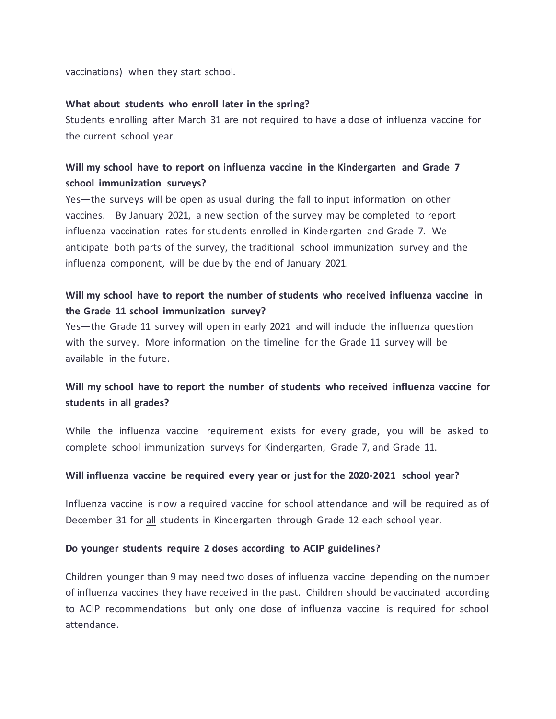vaccinations) when they start school.

#### **What about students who enroll later in the spring?**

Students enrolling after March 31 are not required to have a dose of influenza vaccine for the current school year.

### **Will my school have to report on influenza vaccine in the Kindergarten and Grade 7 school immunization surveys?**

Yes—the surveys will be open as usual during the fall to input information on other vaccines. By January 2021, a new section of the survey may be completed to report influenza vaccination rates for students enrolled in Kindergarten and Grade 7. We anticipate both parts of the survey, the traditional school immunization survey and the influenza component, will be due by the end of January 2021.

## **Will my school have to report the number of students who received influenza vaccine in the Grade 11 school immunization survey?**

Yes—the Grade 11 survey will open in early 2021 and will include the influenza question with the survey. More information on the timeline for the Grade 11 survey will be available in the future.

## **Will my school have to report the number of students who received influenza vaccine for students in all grades?**

While the influenza vaccine requirement exists for every grade, you will be asked to complete school immunization surveys for Kindergarten, Grade 7, and Grade 11.

#### **Will influenza vaccine be required every year or just for the 2020-2021 school year?**

Influenza vaccine is now a required vaccine for school attendance and will be required as of December 31 for all students in Kindergarten through Grade 12 each school year.

#### **Do younger students require 2 doses according to ACIP guidelines?**

Children younger than 9 may need two doses of influenza vaccine depending on the number of influenza vaccines they have received in the past. Children should be vaccinated according to ACIP recommendations but only one dose of influenza vaccine is required for school attendance.